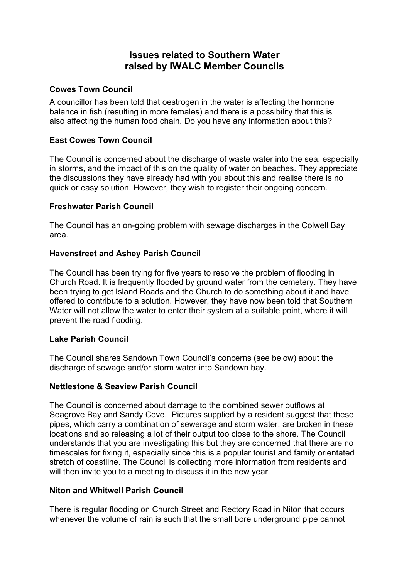# **Issues related to Southern Water raised by IWALC Member Councils**

# **Cowes Town Council**

A councillor has been told that oestrogen in the water is affecting the hormone balance in fish (resulting in more females) and there is a possibility that this is also affecting the human food chain. Do you have any information about this?

# **East Cowes Town Council**

The Council is concerned about the discharge of waste water into the sea, especially in storms, and the impact of this on the quality of water on beaches. They appreciate the discussions they have already had with you about this and realise there is no quick or easy solution. However, they wish to register their ongoing concern.

# **Freshwater Parish Council**

The Council has an on-going problem with sewage discharges in the Colwell Bay area.

# **Havenstreet and Ashey Parish Council**

The Council has been trying for five years to resolve the problem of flooding in Church Road. It is frequently flooded by ground water from the cemetery. They have been trying to get Island Roads and the Church to do something about it and have offered to contribute to a solution. However, they have now been told that Southern Water will not allow the water to enter their system at a suitable point, where it will prevent the road flooding.

### **Lake Parish Council**

The Council shares Sandown Town Council's concerns (see below) about the discharge of sewage and/or storm water into Sandown bay.

### **Nettlestone & Seaview Parish Council**

The Council is concerned about damage to the combined sewer outflows at Seagrove Bay and Sandy Cove. Pictures supplied by a resident suggest that these pipes, which carry a combination of sewerage and storm water, are broken in these locations and so releasing a lot of their output too close to the shore. The Council understands that you are investigating this but they are concerned that there are no timescales for fixing it, especially since this is a popular tourist and family orientated stretch of coastline. The Council is collecting more information from residents and will then invite you to a meeting to discuss it in the new year.

# **Niton and Whitwell Parish Council**

There is regular flooding on Church Street and Rectory Road in Niton that occurs whenever the volume of rain is such that the small bore underground pipe cannot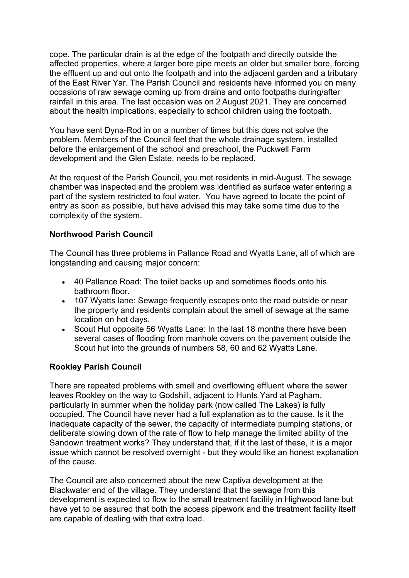cope. The particular drain is at the edge of the footpath and directly outside the affected properties, where a larger bore pipe meets an older but smaller bore, forcing the effluent up and out onto the footpath and into the adjacent garden and a tributary of the East River Yar. The Parish Council and residents have informed you on many occasions of raw sewage coming up from drains and onto footpaths during/after rainfall in this area. The last occasion was on 2 August 2021. They are concerned about the health implications, especially to school children using the footpath.

You have sent Dyna-Rod in on a number of times but this does not solve the problem. Members of the Council feel that the whole drainage system, installed before the enlargement of the school and preschool, the Puckwell Farm development and the Glen Estate, needs to be replaced.

At the request of the Parish Council, you met residents in mid-August. The sewage chamber was inspected and the problem was identified as surface water entering a part of the system restricted to foul water. You have agreed to locate the point of entry as soon as possible, but have advised this may take some time due to the complexity of the system.

# **Northwood Parish Council**

The Council has three problems in Pallance Road and Wyatts Lane, all of which are longstanding and causing major concern:

- 40 Pallance Road: The toilet backs up and sometimes floods onto his bathroom floor.
- 107 Wyatts lane: Sewage frequently escapes onto the road outside or near the property and residents complain about the smell of sewage at the same location on hot days.
- Scout Hut opposite 56 Wyatts Lane: In the last 18 months there have been several cases of flooding from manhole covers on the pavement outside the Scout hut into the grounds of numbers 58, 60 and 62 Wyatts Lane.

# **Rookley Parish Council**

There are repeated problems with smell and overflowing effluent where the sewer leaves Rookley on the way to Godshill, adjacent to Hunts Yard at Pagham, particularly in summer when the holiday park (now called The Lakes) is fully occupied. The Council have never had a full explanation as to the cause. Is it the inadequate capacity of the sewer, the capacity of intermediate pumping stations, or deliberate slowing down of the rate of flow to help manage the limited ability of the Sandown treatment works? They understand that, if it the last of these, it is a major issue which cannot be resolved overnight - but they would like an honest explanation of the cause.

The Council are also concerned about the new Captiva development at the Blackwater end of the village. They understand that the sewage from this development is expected to flow to the small treatment facility in Highwood lane but have yet to be assured that both the access pipework and the treatment facility itself are capable of dealing with that extra load.